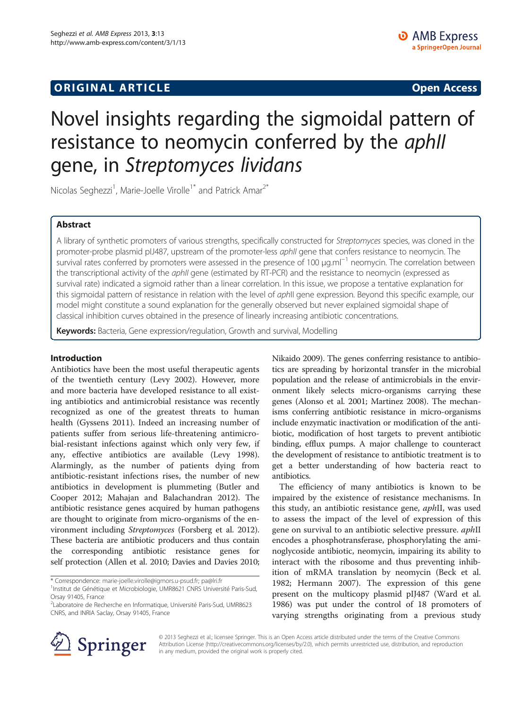# **ORIGINAL ARTICLE CONSUMING A LIGACION CONSUMING A LIGACION CONSUMING A LIGACION**

# Novel insights regarding the sigmoidal pattern of resistance to neomycin conferred by the aphll gene, in Streptomyces lividans

Nicolas Seghezzi<sup>1</sup>, Marie-Joelle Virolle<sup>1\*</sup> and Patrick Amar<sup>2\*</sup>

# Abstract

A library of synthetic promoters of various strengths, specifically constructed for Streptomyces species, was cloned in the promoter-probe plasmid pIJ487, upstream of the promoter-less aphII gene that confers resistance to neomycin. The survival rates conferred by promoters were assessed in the presence of 100 μg.ml<sup>-1</sup> neomycin. The correlation between the transcriptional activity of the *aphII* gene (estimated by RT-PCR) and the resistance to neomycin (expressed as survival rate) indicated a sigmoid rather than a linear correlation. In this issue, we propose a tentative explanation for this sigmoidal pattern of resistance in relation with the level of aphII gene expression. Beyond this specific example, our model might constitute a sound explanation for the generally observed but never explained sigmoidal shape of classical inhibition curves obtained in the presence of linearly increasing antibiotic concentrations.

Keywords: Bacteria, Gene expression/regulation, Growth and survival, Modelling

# Introduction

Antibiotics have been the most useful therapeutic agents of the twentieth century (Levy [2002](#page-4-0)). However, more and more bacteria have developed resistance to all existing antibiotics and antimicrobial resistance was recently recognized as one of the greatest threats to human health (Gyssens [2011\)](#page-4-0). Indeed an increasing number of patients suffer from serious life-threatening antimicrobial-resistant infections against which only very few, if any, effective antibiotics are available (Levy [1998](#page-4-0)). Alarmingly, as the number of patients dying from antibiotic-resistant infections rises, the number of new antibiotics in development is plummeting (Butler and Cooper [2012](#page-4-0); Mahajan and Balachandran [2012](#page-4-0)). The antibiotic resistance genes acquired by human pathogens are thought to originate from micro-organisms of the environment including Streptomyces (Forsberg et al. [2012](#page-4-0)). These bacteria are antibiotic producers and thus contain the corresponding antibiotic resistance genes for self protection (Allen et al. [2010](#page-4-0); Davies and Davies [2010](#page-4-0);

\* Correspondence: [marie-joelle.virolle@igmors.u-psud.fr](mailto:marie-joelle.virolle@igmors.u-psud.fr); [pa@lri.fr](mailto:pa@lri.fr) <sup>1</sup> <sup>1</sup>Institut de Génétique et Microbiologie, UMR8621 CNRS Université Paris-Sud, Nikaido [2009](#page-4-0)). The genes conferring resistance to antibiotics are spreading by horizontal transfer in the microbial population and the release of antimicrobials in the environment likely selects micro-organisms carrying these genes (Alonso et al. [2001](#page-4-0); Martinez [2008\)](#page-4-0). The mechanisms conferring antibiotic resistance in micro-organisms include enzymatic inactivation or modification of the antibiotic, modification of host targets to prevent antibiotic binding, efflux pumps. A major challenge to counteract the development of resistance to antibiotic treatment is to get a better understanding of how bacteria react to antibiotics.

The efficiency of many antibiotics is known to be impaired by the existence of resistance mechanisms. In this study, an antibiotic resistance gene, *aphII*, was used to assess the impact of the level of expression of this gene on survival to an antibiotic selective pressure. *aphII* encodes a phosphotransferase, phosphorylating the aminoglycoside antibiotic, neomycin, impairing its ability to interact with the ribosome and thus preventing inhibition of mRMA translation by neomycin (Beck et al. [1982](#page-4-0); Hermann [2007\)](#page-4-0). The expression of this gene present on the multicopy plasmid pIJ487 (Ward et al. [1986](#page-4-0)) was put under the control of 18 promoters of varying strengths originating from a previous study



© 2013 Seghezzi et al.; licensee Springer. This is an Open Access article distributed under the terms of the Creative Commons Attribution License [\(http://creativecommons.org/licenses/by/2.0\)](http://creativecommons.org/licenses/by/2.0), which permits unrestricted use, distribution, and reproduction in any medium, provided the original work is properly cited.

Orsay 91405, France

<sup>2</sup> Laboratoire de Recherche en Informatique, Université Paris-Sud, UMR8623 CNRS, and INRIA Saclay, Orsay 91405, France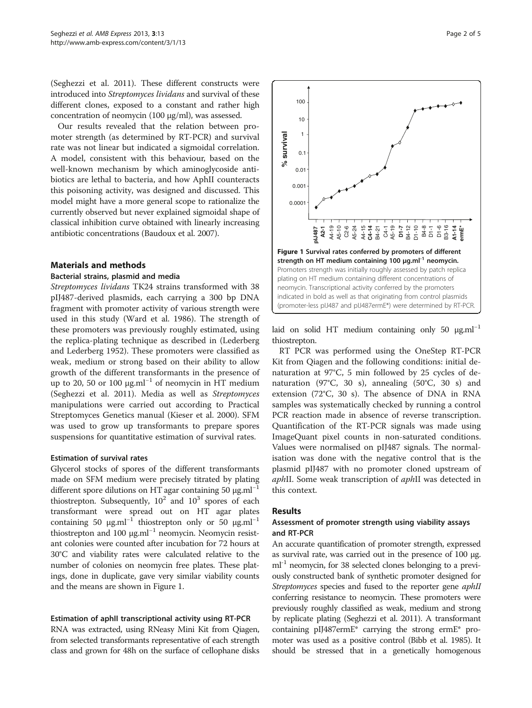<span id="page-1-0"></span>(Seghezzi et al. [2011](#page-4-0)). These different constructs were introduced into Streptomyces lividans and survival of these different clones, exposed to a constant and rather high concentration of neomycin (100 μg/ml), was assessed.

Our results revealed that the relation between promoter strength (as determined by RT-PCR) and survival rate was not linear but indicated a sigmoidal correlation. A model, consistent with this behaviour, based on the well-known mechanism by which aminoglycoside antibiotics are lethal to bacteria, and how AphII counteracts this poisoning activity, was designed and discussed. This model might have a more general scope to rationalize the currently observed but never explained sigmoidal shape of classical inhibition curve obtained with linearly increasing antibiotic concentrations (Baudoux et al. [2007](#page-4-0)).

# Materials and methods

#### Bacterial strains, plasmid and media

Streptomyces lividans TK24 strains transformed with 38 pIJ487-derived plasmids, each carrying a 300 bp DNA fragment with promoter activity of various strength were used in this study (Ward et al. [1986](#page-4-0)). The strength of these promoters was previously roughly estimated, using the replica-plating technique as described in (Lederberg and Lederberg [1952\)](#page-4-0). These promoters were classified as weak, medium or strong based on their ability to allow growth of the different transformants in the presence of up to 20, 50 or 100  $\mu$ g.ml<sup>-1</sup> of neomycin in HT medium (Seghezzi et al. [2011](#page-4-0)). Media as well as Streptomyces manipulations were carried out according to Practical Streptomyces Genetics manual (Kieser et al. [2000\)](#page-4-0). SFM was used to grow up transformants to prepare spores suspensions for quantitative estimation of survival rates.

## Estimation of survival rates

Glycerol stocks of spores of the different transformants made on SFM medium were precisely titrated by plating different spore dilutions on HT agar containing 50  $\mu$ g.ml<sup>-1</sup> thiostrepton. Subsequently,  $10^2$  and  $10^3$  spores of each transformant were spread out on HT agar plates containing 50  $\mu$ g.ml<sup>-1</sup> thiostrepton only or 50  $\mu$ g.ml<sup>-1</sup> thiostrepton and 100 μg.ml<sup>-1</sup> neomycin. Neomycin resistant colonies were counted after incubation for 72 hours at 30°C and viability rates were calculated relative to the number of colonies on neomycin free plates. These platings, done in duplicate, gave very similar viability counts and the means are shown in Figure 1.

## Estimation of aphII transcriptional activity using RT-PCR

RNA was extracted, using RNeasy Mini Kit from Qiagen, from selected transformants representative of each strength class and grown for 48h on the surface of cellophane disks



laid on solid HT medium containing only 50  $\mu$ g.ml<sup>-1</sup> thiostrepton.

RT PCR was performed using the OneStep RT-PCR Kit from Qiagen and the following conditions: initial denaturation at 97°C, 5 min followed by 25 cycles of denaturation (97°C, 30 s), annealing (50°C, 30 s) and extension (72°C, 30 s). The absence of DNA in RNA samples was systematically checked by running a control PCR reaction made in absence of reverse transcription. Quantification of the RT-PCR signals was made using ImageQuant pixel counts in non-saturated conditions. Values were normalised on pIJ487 signals. The normalisation was done with the negative control that is the plasmid pIJ487 with no promoter cloned upstream of aphII. Some weak transcription of aphII was detected in this context.

## Results

# Assessment of promoter strength using viability assays and RT-PCR

An accurate quantification of promoter strength, expressed as survival rate, was carried out in the presence of 100 μg.  $ml<sup>-1</sup>$  neomycin, for 38 selected clones belonging to a previously constructed bank of synthetic promoter designed for Streptomyces species and fused to the reporter gene aphII conferring resistance to neomycin. These promoters were previously roughly classified as weak, medium and strong by replicate plating (Seghezzi et al. [2011\)](#page-4-0). A transformant containing pIJ487ermE\* carrying the strong ermE\* promoter was used as a positive control (Bibb et al. [1985\)](#page-4-0). It should be stressed that in a genetically homogenous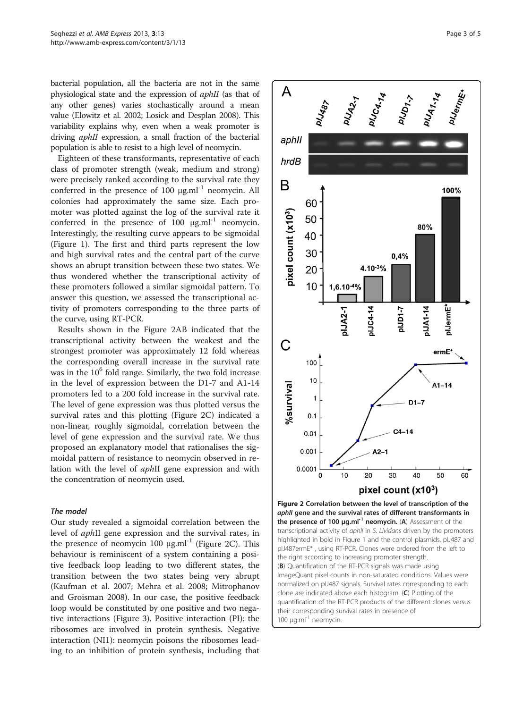bacterial population, all the bacteria are not in the same physiological state and the expression of aphII (as that of any other genes) varies stochastically around a mean value (Elowitz et al. [2002;](#page-4-0) Losick and Desplan [2008](#page-4-0)). This variability explains why, even when a weak promoter is driving *aphII* expression, a small fraction of the bacterial population is able to resist to a high level of neomycin.

Eighteen of these transformants, representative of each class of promoter strength (weak, medium and strong) were precisely ranked according to the survival rate they conferred in the presence of 100  $\mu$ g.ml<sup>-1</sup> neomycin. All colonies had approximately the same size. Each promoter was plotted against the log of the survival rate it conferred in the presence of 100  $\mu$ g.ml<sup>-1</sup> neomycin. Interestingly, the resulting curve appears to be sigmoidal (Figure [1](#page-1-0)). The first and third parts represent the low and high survival rates and the central part of the curve shows an abrupt transition between these two states. We thus wondered whether the transcriptional activity of these promoters followed a similar sigmoidal pattern. To answer this question, we assessed the transcriptional activity of promoters corresponding to the three parts of the curve, using RT-PCR.

Results shown in the Figure 2AB indicated that the transcriptional activity between the weakest and the strongest promoter was approximately 12 fold whereas the corresponding overall increase in the survival rate was in the  $10<sup>6</sup>$  fold range. Similarly, the two fold increase in the level of expression between the D1-7 and A1-14 promoters led to a 200 fold increase in the survival rate. The level of gene expression was thus plotted versus the survival rates and this plotting (Figure 2C) indicated a non-linear, roughly sigmoidal, correlation between the level of gene expression and the survival rate. We thus proposed an explanatory model that rationalises the sigmoidal pattern of resistance to neomycin observed in relation with the level of aphII gene expression and with the concentration of neomycin used.

## The model

Our study revealed a sigmoidal correlation between the level of aphII gene expression and the survival rates, in the presence of neomycin 100 μg.ml<sup>-1</sup> (Figure 2C). This behaviour is reminiscent of a system containing a positive feedback loop leading to two different states, the transition between the two states being very abrupt (Kaufman et al. [2007;](#page-4-0) Mehra et al. [2008](#page-4-0); Mitrophanov and Groisman [2008\)](#page-4-0). In our case, the positive feedback loop would be constituted by one positive and two negative interactions (Figure [3](#page-3-0)). Positive interaction (PI): the ribosomes are involved in protein synthesis. Negative interaction (NI1): neomycin poisons the ribosomes leading to an inhibition of protein synthesis, including that



 $100 \mu$ g.ml<sup>-1</sup> neomycin.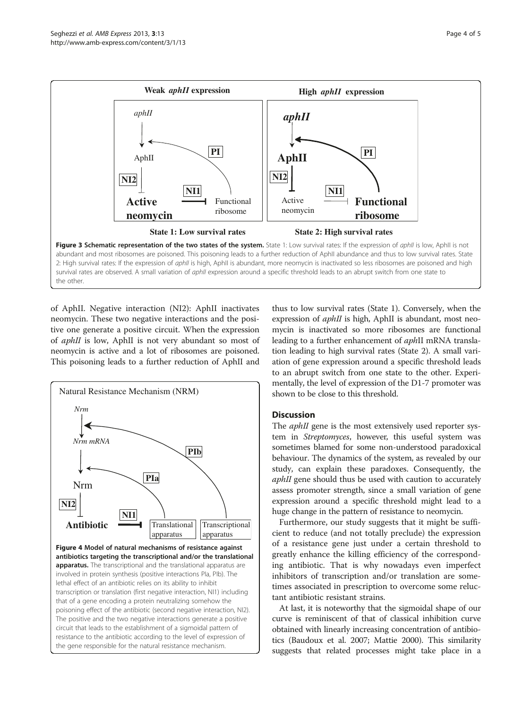<span id="page-3-0"></span>

of AphII. Negative interaction (NI2): AphII inactivates neomycin. These two negative interactions and the positive one generate a positive circuit. When the expression of *aphII* is low, AphII is not very abundant so most of neomycin is active and a lot of ribosomes are poisoned. This poisoning leads to a further reduction of AphII and



thus to low survival rates (State 1). Conversely, when the expression of *aphII* is high, AphII is abundant, most neomycin is inactivated so more ribosomes are functional leading to a further enhancement of *aphII* mRNA translation leading to high survival rates (State 2). A small variation of gene expression around a specific threshold leads to an abrupt switch from one state to the other. Experimentally, the level of expression of the D1-7 promoter was shown to be close to this threshold.

# **Discussion**

The *aphII* gene is the most extensively used reporter system in Streptomyces, however, this useful system was sometimes blamed for some non-understood paradoxical behaviour. The dynamics of the system, as revealed by our study, can explain these paradoxes. Consequently, the aphII gene should thus be used with caution to accurately assess promoter strength, since a small variation of gene expression around a specific threshold might lead to a huge change in the pattern of resistance to neomycin.

Furthermore, our study suggests that it might be sufficient to reduce (and not totally preclude) the expression of a resistance gene just under a certain threshold to greatly enhance the killing efficiency of the corresponding antibiotic. That is why nowadays even imperfect inhibitors of transcription and/or translation are sometimes associated in prescription to overcome some reluctant antibiotic resistant strains.

At last, it is noteworthy that the sigmoidal shape of our curve is reminiscent of that of classical inhibition curve obtained with linearly increasing concentration of antibiotics (Baudoux et al. [2007;](#page-4-0) Mattie [2000](#page-4-0)). This similarity suggests that related processes might take place in a